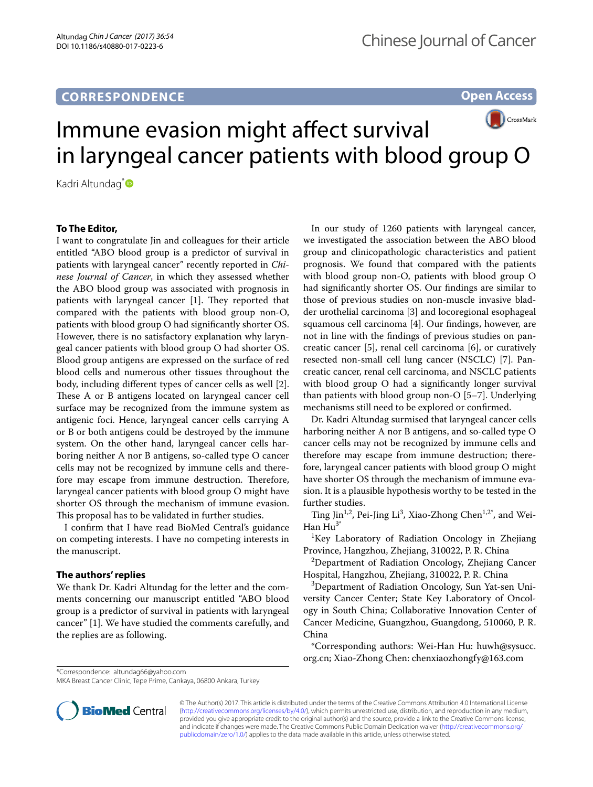# **CORRESPONDENCE**

**Open Access**



Kadri Altundag<sup>[\\*](http://orcid.org/0000-0003-3357-0096)</sup>

### **To The Editor,**

I want to congratulate Jin and colleagues for their article entitled "ABO blood group is a predictor of survival in patients with laryngeal cancer" recently reported in *Chinese Journal of Cancer*, in which they assessed whether the ABO blood group was associated with prognosis in patients with laryngeal cancer  $[1]$ . They reported that compared with the patients with blood group non-O, patients with blood group O had signifcantly shorter OS. However, there is no satisfactory explanation why laryngeal cancer patients with blood group O had shorter OS. Blood group antigens are expressed on the surface of red blood cells and numerous other tissues throughout the body, including diferent types of cancer cells as well [2]. These A or B antigens located on laryngeal cancer cell surface may be recognized from the immune system as antigenic foci. Hence, laryngeal cancer cells carrying A or B or both antigens could be destroyed by the immune system. On the other hand, laryngeal cancer cells harboring neither A nor B antigens, so-called type O cancer cells may not be recognized by immune cells and therefore may escape from immune destruction. Therefore, laryngeal cancer patients with blood group O might have shorter OS through the mechanism of immune evasion. This proposal has to be validated in further studies.

I confrm that I have read BioMed Central's guidance on competing interests. I have no competing interests in the manuscript.

#### **The authors' replies**

We thank Dr. Kadri Altundag for the letter and the comments concerning our manuscript entitled "ABO blood group is a predictor of survival in patients with laryngeal cancer" [1]. We have studied the comments carefully, and the replies are as following.

In our study of 1260 patients with laryngeal cancer, we investigated the association between the ABO blood group and clinicopathologic characteristics and patient prognosis. We found that compared with the patients with blood group non-O, patients with blood group O had signifcantly shorter OS. Our fndings are similar to those of previous studies on non-muscle invasive bladder urothelial carcinoma [3] and locoregional esophageal squamous cell carcinoma [4]. Our fndings, however, are not in line with the fndings of previous studies on pancreatic cancer [5], renal cell carcinoma [6], or curatively resected non-small cell lung cancer (NSCLC) [7]. Pancreatic cancer, renal cell carcinoma, and NSCLC patients with blood group O had a signifcantly longer survival than patients with blood group non-O [5–7]. Underlying mechanisms still need to be explored or confrmed.

Dr. Kadri Altundag surmised that laryngeal cancer cells harboring neither A nor B antigens, and so-called type O cancer cells may not be recognized by immune cells and therefore may escape from immune destruction; therefore, laryngeal cancer patients with blood group O might have shorter OS through the mechanism of immune evasion. It is a plausible hypothesis worthy to be tested in the further studies.

Ting Jin<sup>1,2</sup>, Pei-Jing Li<sup>3</sup>, Xiao-Zhong Chen<sup>1,2\*</sup>, and Wei-Han  $Hu^3$ 

<sup>1</sup>Key Laboratory of Radiation Oncology in Zhejiang Province, Hangzhou, Zhejiang, 310022, P. R. China

2 Department of Radiation Oncology, Zhejiang Cancer Hospital, Hangzhou, Zhejiang, 310022, P. R. China

3 Department of Radiation Oncology, Sun Yat-sen University Cancer Center; State Key Laboratory of Oncology in South China; Collaborative Innovation Center of Cancer Medicine, Guangzhou, Guangdong, 510060, P. R. China

\*Corresponding authors: Wei-Han Hu: huwh@sysucc. org.cn; Xiao-Zhong Chen: chenxiaozhongfy@163.com

\*Correspondence: altundag66@yahoo.com

MKA Breast Cancer Clinic, Tepe Prime, Cankaya, 06800 Ankara, Turkey



© The Author(s) 2017. This article is distributed under the terms of the Creative Commons Attribution 4.0 International License [\(http://creativecommons.org/licenses/by/4.0/\)](http://creativecommons.org/licenses/by/4.0/), which permits unrestricted use, distribution, and reproduction in any medium, provided you give appropriate credit to the original author(s) and the source, provide a link to the Creative Commons license, and indicate if changes were made. The Creative Commons Public Domain Dedication waiver ([http://creativecommons.org/](http://creativecommons.org/publicdomain/zero/1.0/) [publicdomain/zero/1.0/](http://creativecommons.org/publicdomain/zero/1.0/)) applies to the data made available in this article, unless otherwise stated.